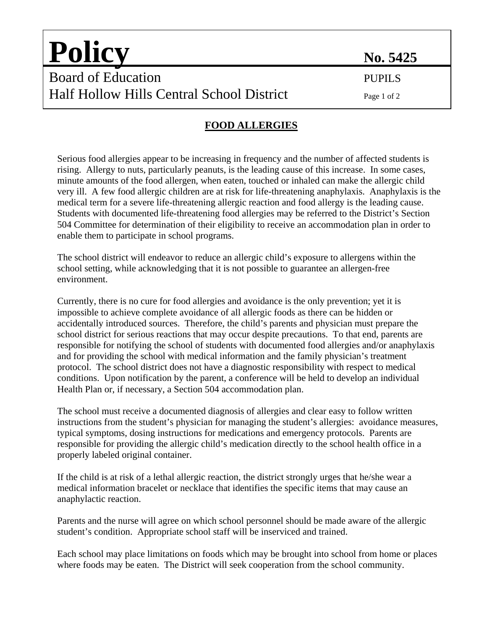| <b>Policy</b>                             | No. 5425    |
|-------------------------------------------|-------------|
| Board of Education                        | PUPILS      |
| Half Hollow Hills Central School District | Page 1 of 2 |

## **FOOD ALLERGIES**

Serious food allergies appear to be increasing in frequency and the number of affected students is rising. Allergy to nuts, particularly peanuts, is the leading cause of this increase. In some cases, minute amounts of the food allergen, when eaten, touched or inhaled can make the allergic child very ill. A few food allergic children are at risk for life-threatening anaphylaxis. Anaphylaxis is the medical term for a severe life-threatening allergic reaction and food allergy is the leading cause. Students with documented life-threatening food allergies may be referred to the District's Section 504 Committee for determination of their eligibility to receive an accommodation plan in order to enable them to participate in school programs.

The school district will endeavor to reduce an allergic child's exposure to allergens within the school setting, while acknowledging that it is not possible to guarantee an allergen-free environment.

Currently, there is no cure for food allergies and avoidance is the only prevention; yet it is impossible to achieve complete avoidance of all allergic foods as there can be hidden or accidentally introduced sources. Therefore, the child's parents and physician must prepare the school district for serious reactions that may occur despite precautions. To that end, parents are responsible for notifying the school of students with documented food allergies and/or anaphylaxis and for providing the school with medical information and the family physician's treatment protocol. The school district does not have a diagnostic responsibility with respect to medical conditions. Upon notification by the parent, a conference will be held to develop an individual Health Plan or, if necessary, a Section 504 accommodation plan.

The school must receive a documented diagnosis of allergies and clear easy to follow written instructions from the student's physician for managing the student's allergies: avoidance measures, typical symptoms, dosing instructions for medications and emergency protocols. Parents are responsible for providing the allergic child's medication directly to the school health office in a properly labeled original container.

If the child is at risk of a lethal allergic reaction, the district strongly urges that he/she wear a medical information bracelet or necklace that identifies the specific items that may cause an anaphylactic reaction.

Parents and the nurse will agree on which school personnel should be made aware of the allergic student's condition. Appropriate school staff will be inserviced and trained.

Each school may place limitations on foods which may be brought into school from home or places where foods may be eaten. The District will seek cooperation from the school community.